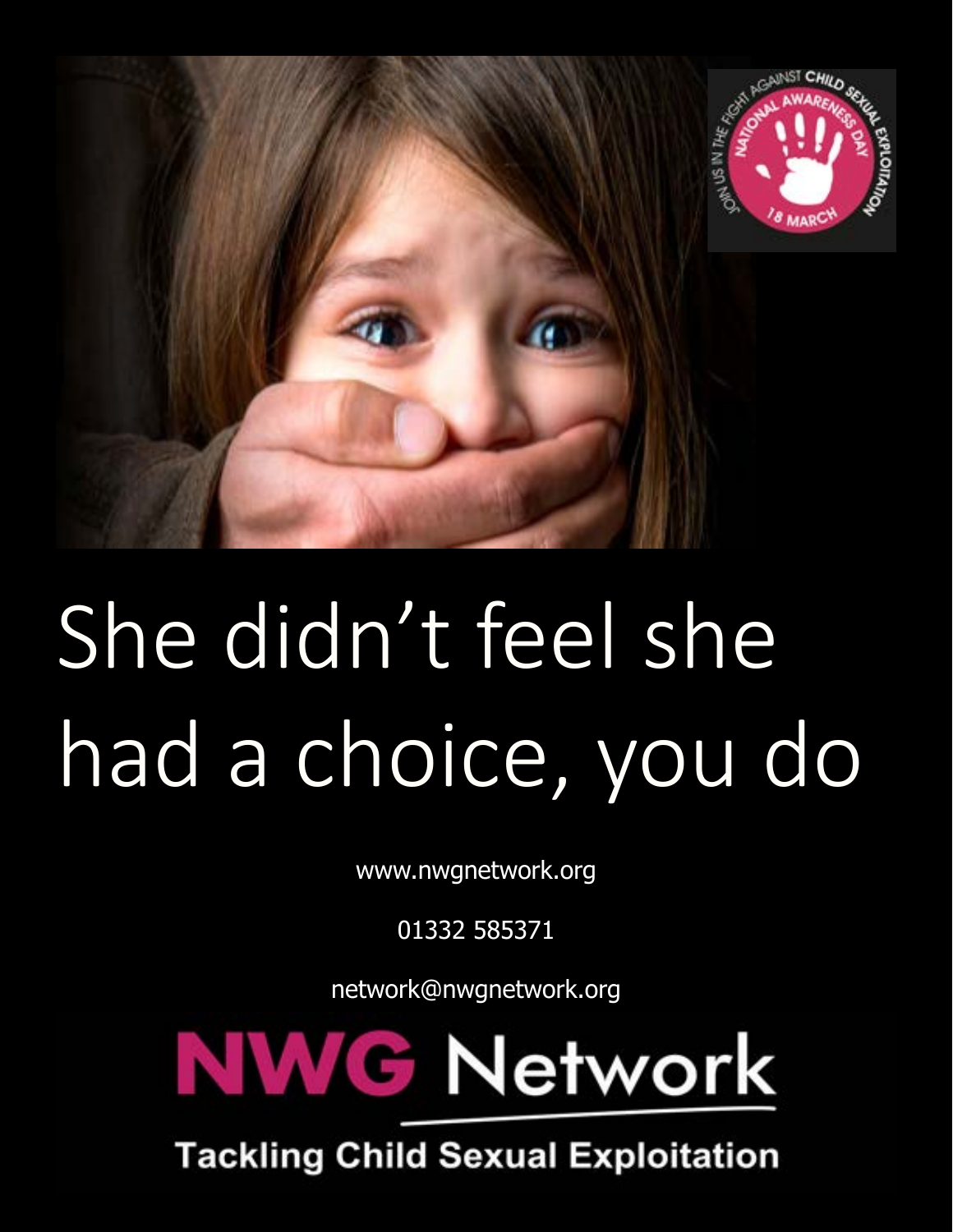

## She didn't feel she had a choice, you do

www.nwgnetwork.org

01332 585371

network@nwgnetwork.org



**Tackling Child Sexual Exploitation**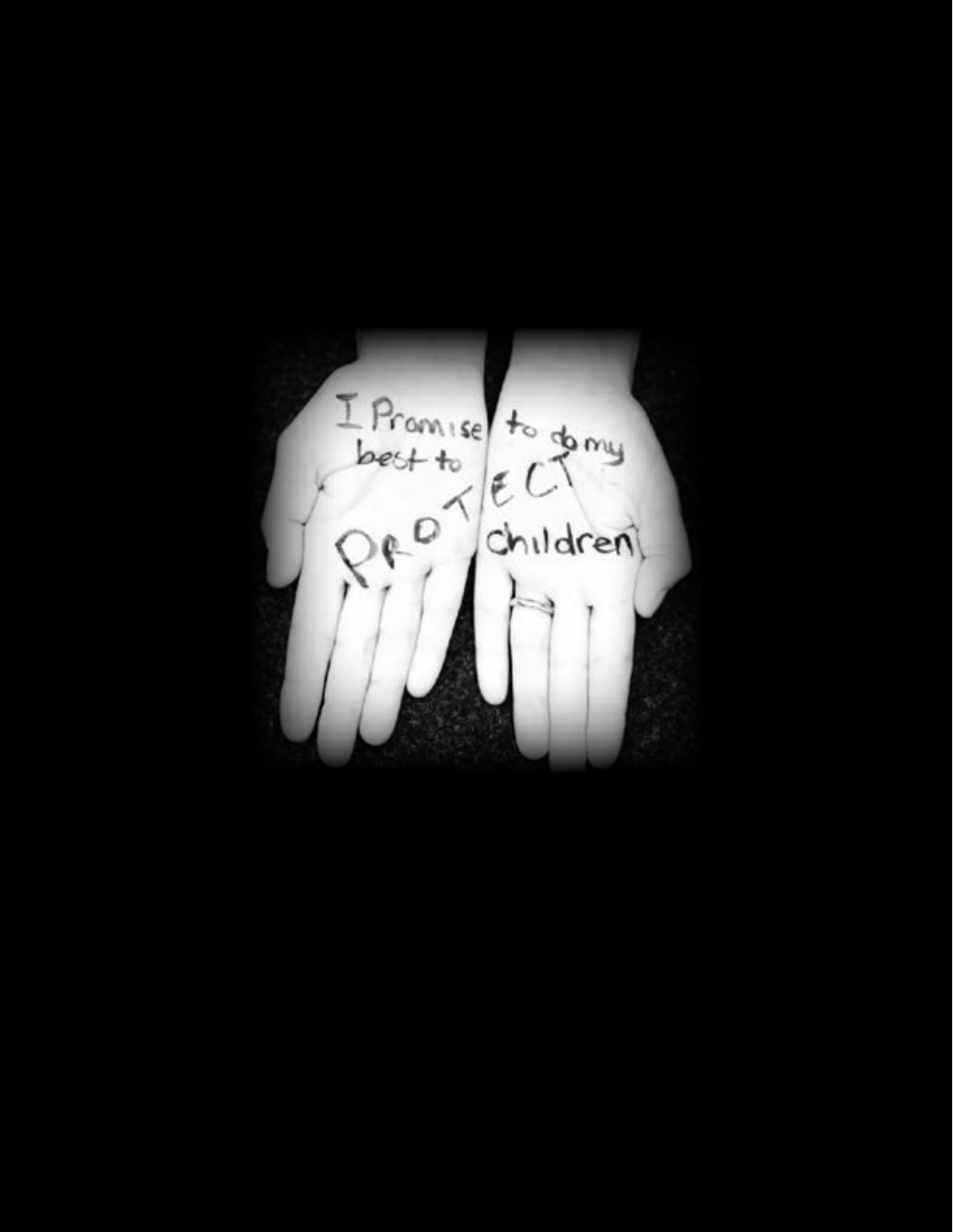I Promise to going children)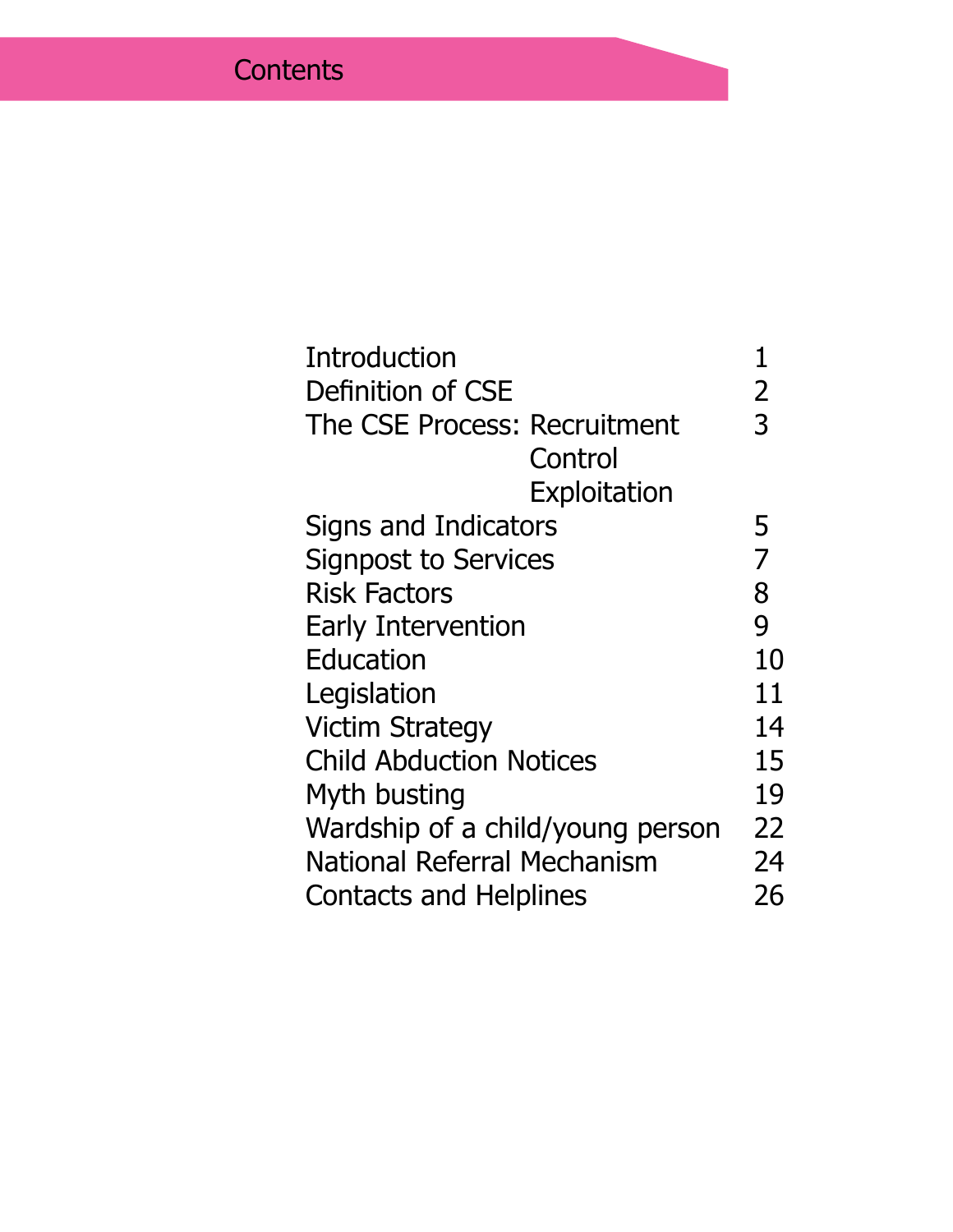| Definition of CSE<br>2<br>3<br>The CSE Process: Recruitment<br>Control<br>Exploitation<br>Signs and Indicators<br>5<br>7<br><b>Signpost to Services</b><br>8<br><b>Risk Factors</b><br>9<br><b>Early Intervention</b><br>Education<br>Legislation<br><b>Victim Strategy</b><br><b>Child Abduction Notices</b><br>Myth busting<br>Wardship of a child/young person<br>National Referral Mechanism | <b>Introduction</b>           |    |
|--------------------------------------------------------------------------------------------------------------------------------------------------------------------------------------------------------------------------------------------------------------------------------------------------------------------------------------------------------------------------------------------------|-------------------------------|----|
|                                                                                                                                                                                                                                                                                                                                                                                                  |                               |    |
|                                                                                                                                                                                                                                                                                                                                                                                                  |                               |    |
|                                                                                                                                                                                                                                                                                                                                                                                                  |                               |    |
|                                                                                                                                                                                                                                                                                                                                                                                                  |                               |    |
|                                                                                                                                                                                                                                                                                                                                                                                                  |                               |    |
|                                                                                                                                                                                                                                                                                                                                                                                                  |                               |    |
|                                                                                                                                                                                                                                                                                                                                                                                                  |                               |    |
|                                                                                                                                                                                                                                                                                                                                                                                                  |                               |    |
|                                                                                                                                                                                                                                                                                                                                                                                                  |                               | 10 |
|                                                                                                                                                                                                                                                                                                                                                                                                  |                               | 11 |
|                                                                                                                                                                                                                                                                                                                                                                                                  |                               | 14 |
|                                                                                                                                                                                                                                                                                                                                                                                                  |                               | 15 |
|                                                                                                                                                                                                                                                                                                                                                                                                  |                               | 19 |
|                                                                                                                                                                                                                                                                                                                                                                                                  |                               | 22 |
|                                                                                                                                                                                                                                                                                                                                                                                                  |                               | 24 |
|                                                                                                                                                                                                                                                                                                                                                                                                  | <b>Contacts and Helplines</b> | 26 |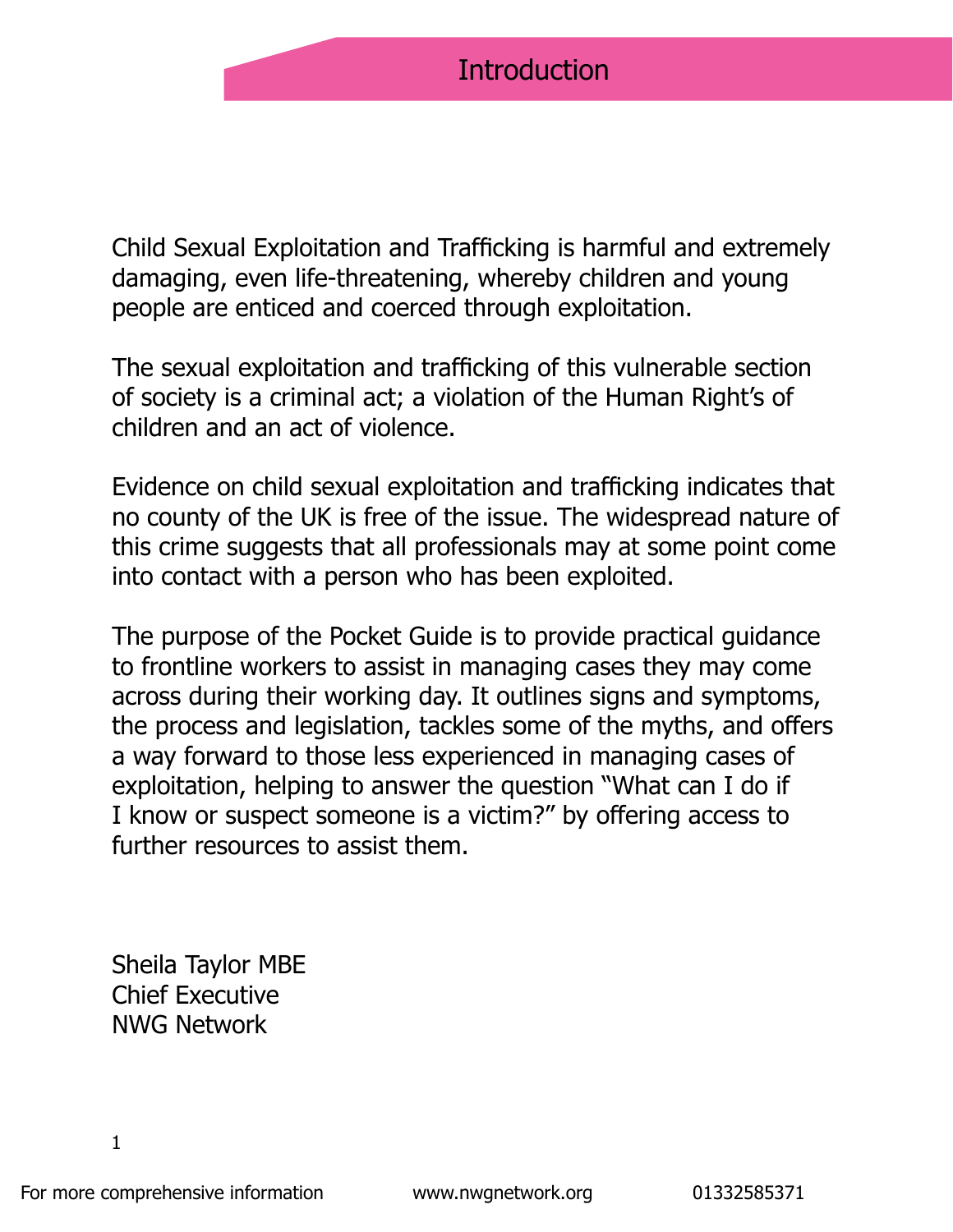Child Sexual Exploitation and Trafficking is harmful and extremely damaging, even life-threatening, whereby children and young people are enticed and coerced through exploitation.

The sexual exploitation and trafficking of this vulnerable section of society is a criminal act; a violation of the Human Right's of children and an act of violence.

Evidence on child sexual exploitation and trafficking indicates that no county of the UK is free of the issue. The widespread nature of this crime suggests that all professionals may at some point come into contact with a person who has been exploited.

The purpose of the Pocket Guide is to provide practical guidance to frontline workers to assist in managing cases they may come across during their working day. It outlines signs and symptoms, the process and legislation, tackles some of the myths, and offers a way forward to those less experienced in managing cases of exploitation, helping to answer the question "What can I do if I know or suspect someone is a victim?" by offering access to further resources to assist them.

Sheila Taylor MBE Chief Executive NWG Network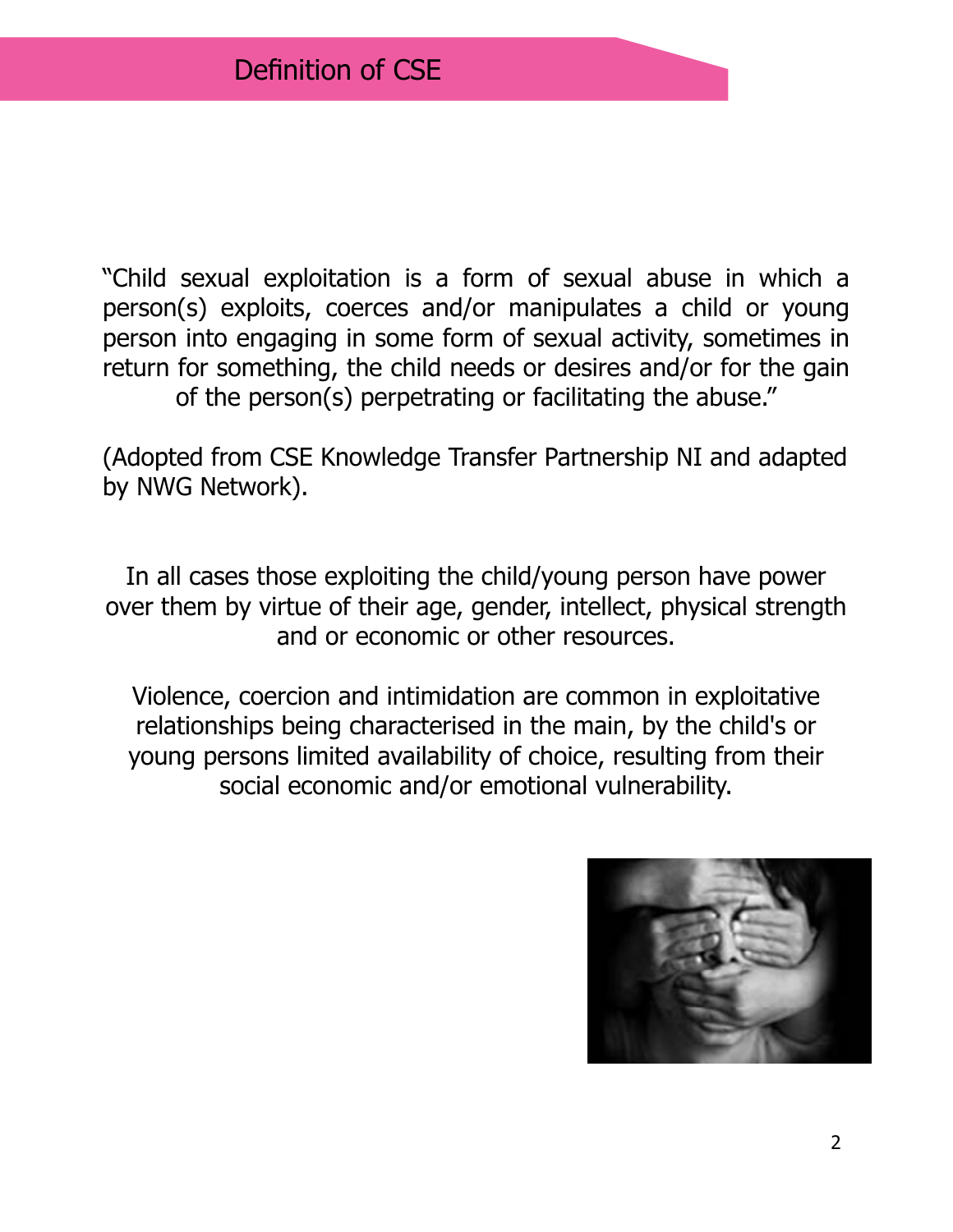"Child sexual exploitation is a form of sexual abuse in which a person(s) exploits, coerces and/or manipulates a child or young person into engaging in some form of sexual activity, sometimes in return for something, the child needs or desires and/or for the gain of the person(s) perpetrating or facilitating the abuse."

(Adopted from CSE Knowledge Transfer Partnership NI and adapted by NWG Network).

In all cases those exploiting the child/young person have power over them by virtue of their age, gender, intellect, physical strength and or economic or other resources.

Violence, coercion and intimidation are common in exploitative relationships being characterised in the main, by the child's or young persons limited availability of choice, resulting from their social economic and/or emotional vulnerability.